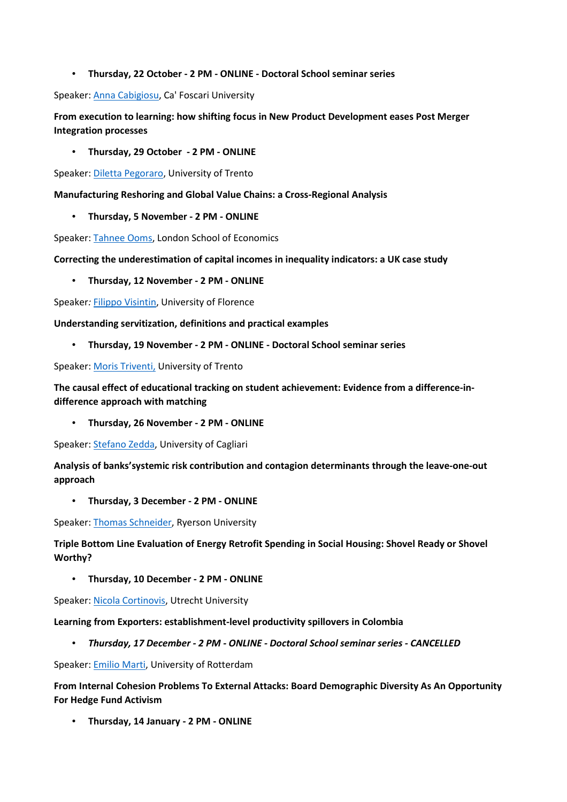• **Thursday, 22 October - 2 PM - ONLINE - Doctoral School seminar series** 

Speaker: Anna Cabigiosu, Ca' Foscari University

**From execution to learning: how shifting focus in New Product Development eases Post Merger Integration processes** 

• **Thursday, 29 October - 2 PM - ONLINE** 

Speaker: Diletta Pegoraro, University of Trento

**Manufacturing Reshoring and Global Value Chains: a Cross-Regional Analysis** 

• **Thursday, 5 November - 2 PM - ONLINE** 

Speaker: Tahnee Ooms, London School of Economics

**Correcting the underestimation of capital incomes in inequality indicators: a UK case study** 

• **Thursday, 12 November - 2 PM - ONLINE** 

Speaker*:* Filippo Visintin, University of Florence

**Understanding servitization, definitions and practical examples** 

• **Thursday, 19 November - 2 PM - ONLINE - Doctoral School seminar series** 

Speaker: Moris Triventi, University of Trento

**The causal effect of educational tracking on student achievement: Evidence from a difference-indifference approach with matching** 

• **Thursday, 26 November - 2 PM - ONLINE** 

Speaker: Stefano Zedda, University of Cagliari

**Analysis of banks'systemic risk contribution and contagion determinants through the leave-one-out approach** 

• **Thursday, 3 December - 2 PM - ONLINE** 

Speaker: Thomas Schneider, Ryerson University

**Triple Bottom Line Evaluation of Energy Retrofit Spending in Social Housing: Shovel Ready or Shovel Worthy?** 

• **Thursday, 10 December - 2 PM - ONLINE** 

Speaker: Nicola Cortinovis, Utrecht University

**Learning from Exporters: establishment-level productivity spillovers in Colombia** 

• *Thursday, 17 December - 2 PM - ONLINE - Doctoral School seminar series - CANCELLED*

Speaker: Emilio Marti, University of Rotterdam

**From Internal Cohesion Problems To External Attacks: Board Demographic Diversity As An Opportunity For Hedge Fund Activism** 

• **Thursday, 14 January - 2 PM - ONLINE**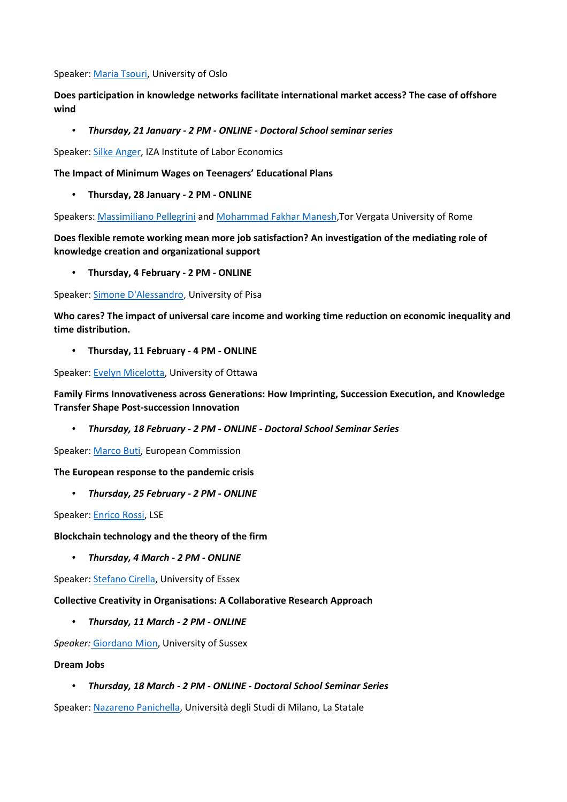Speaker: Maria Tsouri, University of Oslo

**Does participation in knowledge networks facilitate international market access? The case of offshore wind** 

• *Thursday, 21 January - 2 PM - ONLINE - Doctoral School seminar series*

Speaker: Silke Anger, IZA Institute of Labor Economics

**The Impact of Minimum Wages on Teenagers' Educational Plans** 

• **Thursday, 28 January - 2 PM - ONLINE** 

Speakers: Massimiliano Pellegrini and Mohammad Fakhar Manesh,Tor Vergata University of Rome

**Does flexible remote working mean more job satisfaction? An investigation of the mediating role of knowledge creation and organizational support** 

• **Thursday, 4 February - 2 PM - ONLINE** 

Speaker: Simone D'Alessandro, University of Pisa

**Who cares? The impact of universal care income and working time reduction on economic inequality and time distribution.** 

• **Thursday, 11 February - 4 PM - ONLINE** 

Speaker: Evelyn Micelotta, University of Ottawa

**Family Firms Innovativeness across Generations: How Imprinting, Succession Execution, and Knowledge Transfer Shape Post-succession Innovation** 

• *Thursday, 18 February - 2 PM - ONLINE - Doctoral School Seminar Series*

Speaker: Marco Buti, European Commission

**The European response to the pandemic crisis** 

• *Thursday, 25 February - 2 PM - ONLINE*

Speaker: Enrico Rossi, LSE

**Blockchain technology and the theory of the firm** 

• *Thursday, 4 March - 2 PM - ONLINE*

Speaker: Stefano Cirella, University of Essex

**Collective Creativity in Organisations: A Collaborative Research Approach** 

• *Thursday, 11 March - 2 PM - ONLINE*

*Speaker:* Giordano Mion, University of Sussex

#### **Dream Jobs**

• *Thursday, 18 March - 2 PM - ONLINE - Doctoral School Seminar Series*

Speaker: Nazareno Panichella, Università degli Studi di Milano, La Statale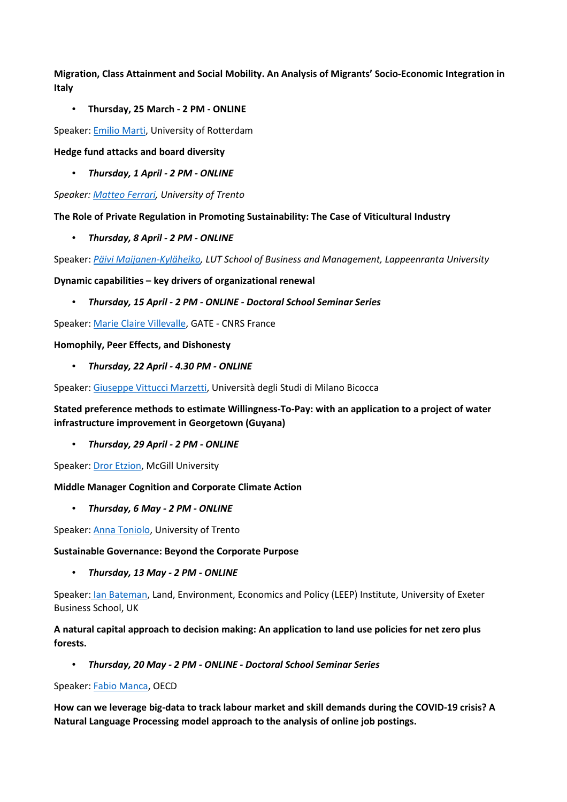**Migration, Class Attainment and Social Mobility. An Analysis of Migrants' Socio-Economic Integration in Italy** 

### • **Thursday, 25 March - 2 PM - ONLINE**

Speaker: Emilio Marti, University of Rotterdam

### **Hedge fund attacks and board diversity**

• *Thursday, 1 April - 2 PM - ONLINE*

*Speaker: Matteo Ferrari, University of Trento*

**The Role of Private Regulation in Promoting Sustainability: The Case of Viticultural Industry** 

• *Thursday, 8 April - 2 PM - ONLINE*

Speaker: *Päivi Maijanen-Kyläheiko, LUT School of Business and Management, Lappeenranta University*

**Dynamic capabilities – key drivers of organizational renewal** 

• *Thursday, 15 April - 2 PM - ONLINE - Doctoral School Seminar Series*

Speaker: Marie Claire Villevalle, GATE - CNRS France

### **Homophily, Peer Effects, and Dishonesty**

• *Thursday, 22 April - 4.30 PM - ONLINE* 

Speaker: Giuseppe Vittucci Marzetti, Università degli Studi di Milano Bicocca

**Stated preference methods to estimate Willingness-To-Pay: with an application to a project of water infrastructure improvement in Georgetown (Guyana)** 

• *Thursday, 29 April - 2 PM - ONLINE* 

Speaker: Dror Etzion, McGill University

## **Middle Manager Cognition and Corporate Climate Action**

• *Thursday, 6 May - 2 PM - ONLINE*

Speaker: Anna Toniolo, University of Trento

### **Sustainable Governance: Beyond the Corporate Purpose**

• *Thursday, 13 May - 2 PM - ONLINE*

Speaker: Ian Bateman, Land, Environment, Economics and Policy (LEEP) Institute, University of Exeter Business School, UK

# **A natural capital approach to decision making: An application to land use policies for net zero plus forests.**

• *Thursday, 20 May - 2 PM - ONLINE - Doctoral School Seminar Series*

### Speaker: Fabio Manca, OECD

**How can we leverage big-data to track labour market and skill demands during the COVID-19 crisis? A Natural Language Processing model approach to the analysis of online job postings.**